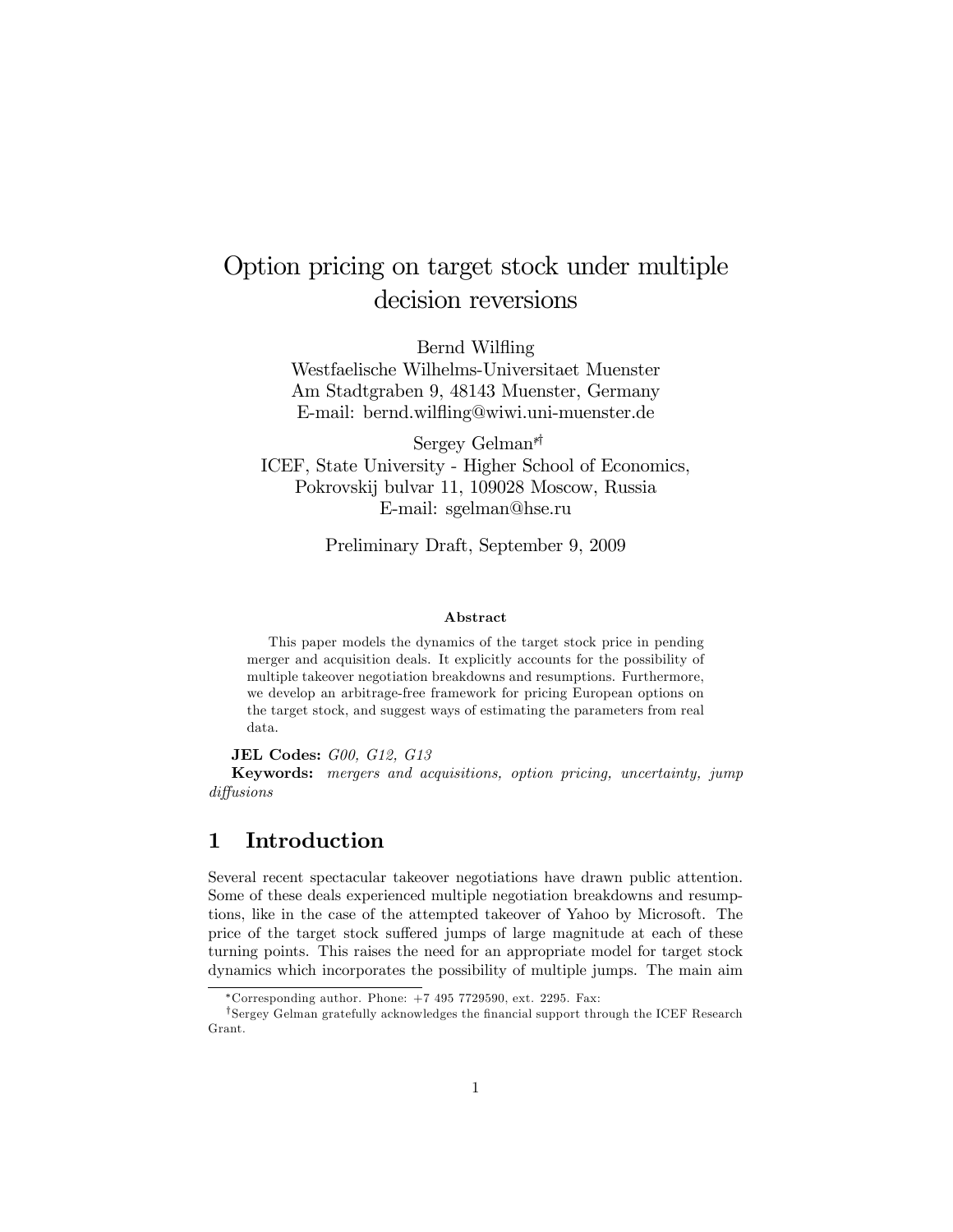# Option pricing on target stock under multiple decision reversions

Bernd Wilfling

Westfaelische Wilhelms-Universitaet Muenster Am Stadtgraben 9, 48143 Muenster, Germany E-mail: bernd.wiláing@wiwi.uni-muenster.de

Sergey Gelman<sup>\*</sup> ICEF, State University - Higher School of Economics, Pokrovskij bulvar 11, 109028 Moscow, Russia E-mail: sgelman@hse.ru

Preliminary Draft, September 9, 2009

#### Abstract

This paper models the dynamics of the target stock price in pending merger and acquisition deals. It explicitly accounts for the possibility of multiple takeover negotiation breakdowns and resumptions. Furthermore, we develop an arbitrage-free framework for pricing European options on the target stock, and suggest ways of estimating the parameters from real data.

JEL Codes: G00, G12, G13

Keywords: mergers and acquisitions, option pricing, uncertainty, jump diffusions

## 1 Introduction

Several recent spectacular takeover negotiations have drawn public attention. Some of these deals experienced multiple negotiation breakdowns and resumptions, like in the case of the attempted takeover of Yahoo by Microsoft. The price of the target stock suffered jumps of large magnitude at each of these turning points. This raises the need for an appropriate model for target stock dynamics which incorporates the possibility of multiple jumps. The main aim

<sup>\*</sup>Corresponding author. Phone:  $+7$  495 7729590, ext. 2295. Fax:

<sup>&</sup>lt;sup>†</sup>Sergey Gelman gratefully acknowledges the financial support through the ICEF Research Grant.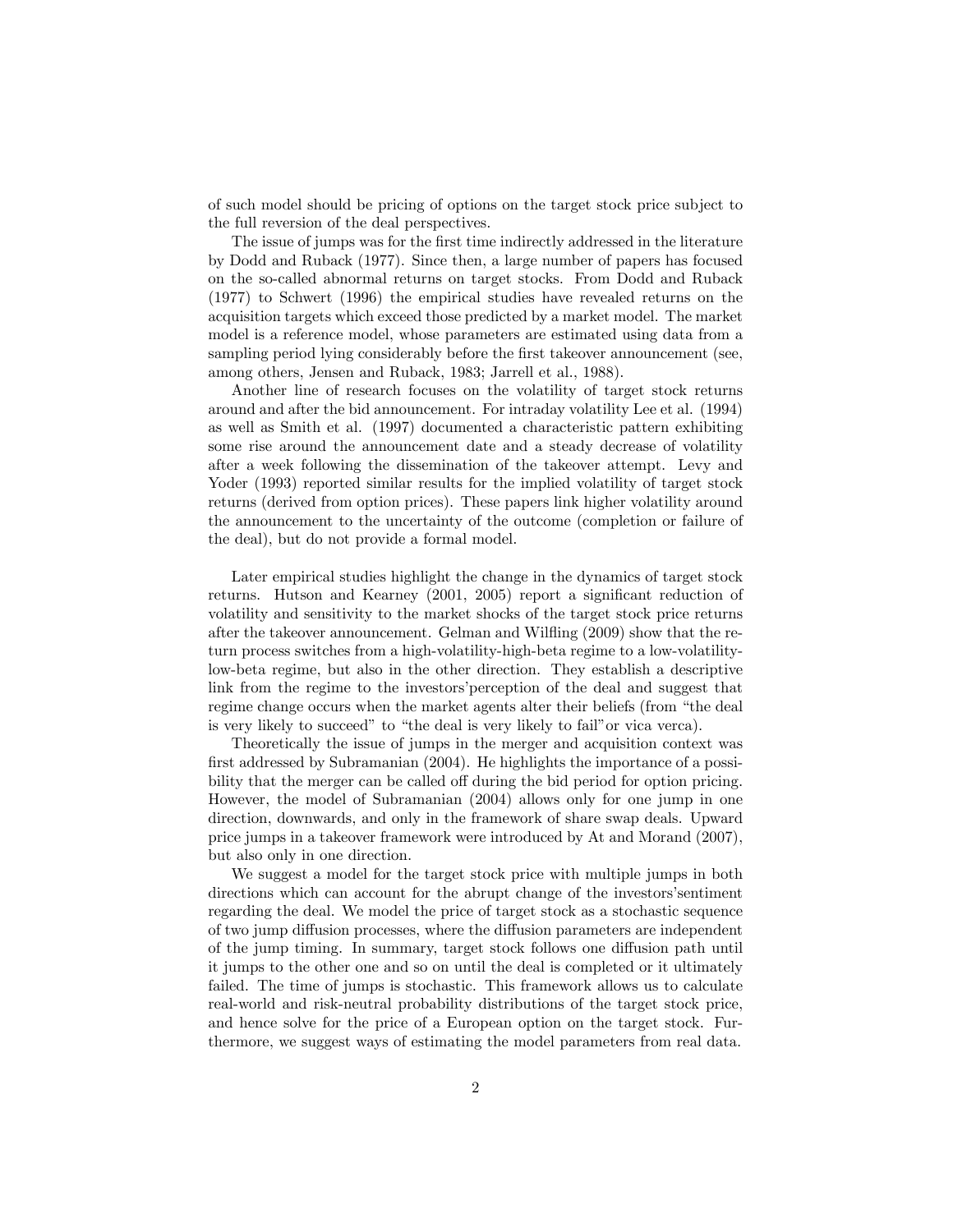of such model should be pricing of options on the target stock price subject to the full reversion of the deal perspectives.

The issue of jumps was for the first time indirectly addressed in the literature by Dodd and Ruback (1977). Since then, a large number of papers has focused on the so-called abnormal returns on target stocks. From Dodd and Ruback (1977) to Schwert (1996) the empirical studies have revealed returns on the acquisition targets which exceed those predicted by a market model. The market model is a reference model, whose parameters are estimated using data from a sampling period lying considerably before the first takeover announcement (see, among others, Jensen and Ruback, 1983; Jarrell et al., 1988).

Another line of research focuses on the volatility of target stock returns around and after the bid announcement. For intraday volatility Lee et al. (1994) as well as Smith et al. (1997) documented a characteristic pattern exhibiting some rise around the announcement date and a steady decrease of volatility after a week following the dissemination of the takeover attempt. Levy and Yoder (1993) reported similar results for the implied volatility of target stock returns (derived from option prices). These papers link higher volatility around the announcement to the uncertainty of the outcome (completion or failure of the deal), but do not provide a formal model.

Later empirical studies highlight the change in the dynamics of target stock returns. Hutson and Kearney (2001, 2005) report a significant reduction of volatility and sensitivity to the market shocks of the target stock price returns after the takeover announcement. Gelman and Wiláing (2009) show that the return process switches from a high-volatility-high-beta regime to a low-volatilitylow-beta regime, but also in the other direction. They establish a descriptive link from the regime to the investors' perception of the deal and suggest that regime change occurs when the market agents alter their beliefs (from "the deal is very likely to succeed" to "the deal is very likely to fail" or vica verca).

Theoretically the issue of jumps in the merger and acquisition context was first addressed by Subramanian (2004). He highlights the importance of a possibility that the merger can be called off during the bid period for option pricing. However, the model of Subramanian (2004) allows only for one jump in one direction, downwards, and only in the framework of share swap deals. Upward price jumps in a takeover framework were introduced by At and Morand (2007), but also only in one direction.

We suggest a model for the target stock price with multiple jumps in both directions which can account for the abrupt change of the investors's entiment regarding the deal. We model the price of target stock as a stochastic sequence of two jump diffusion processes, where the diffusion parameters are independent of the jump timing. In summary, target stock follows one diffusion path until it jumps to the other one and so on until the deal is completed or it ultimately failed. The time of jumps is stochastic. This framework allows us to calculate real-world and risk-neutral probability distributions of the target stock price, and hence solve for the price of a European option on the target stock. Furthermore, we suggest ways of estimating the model parameters from real data.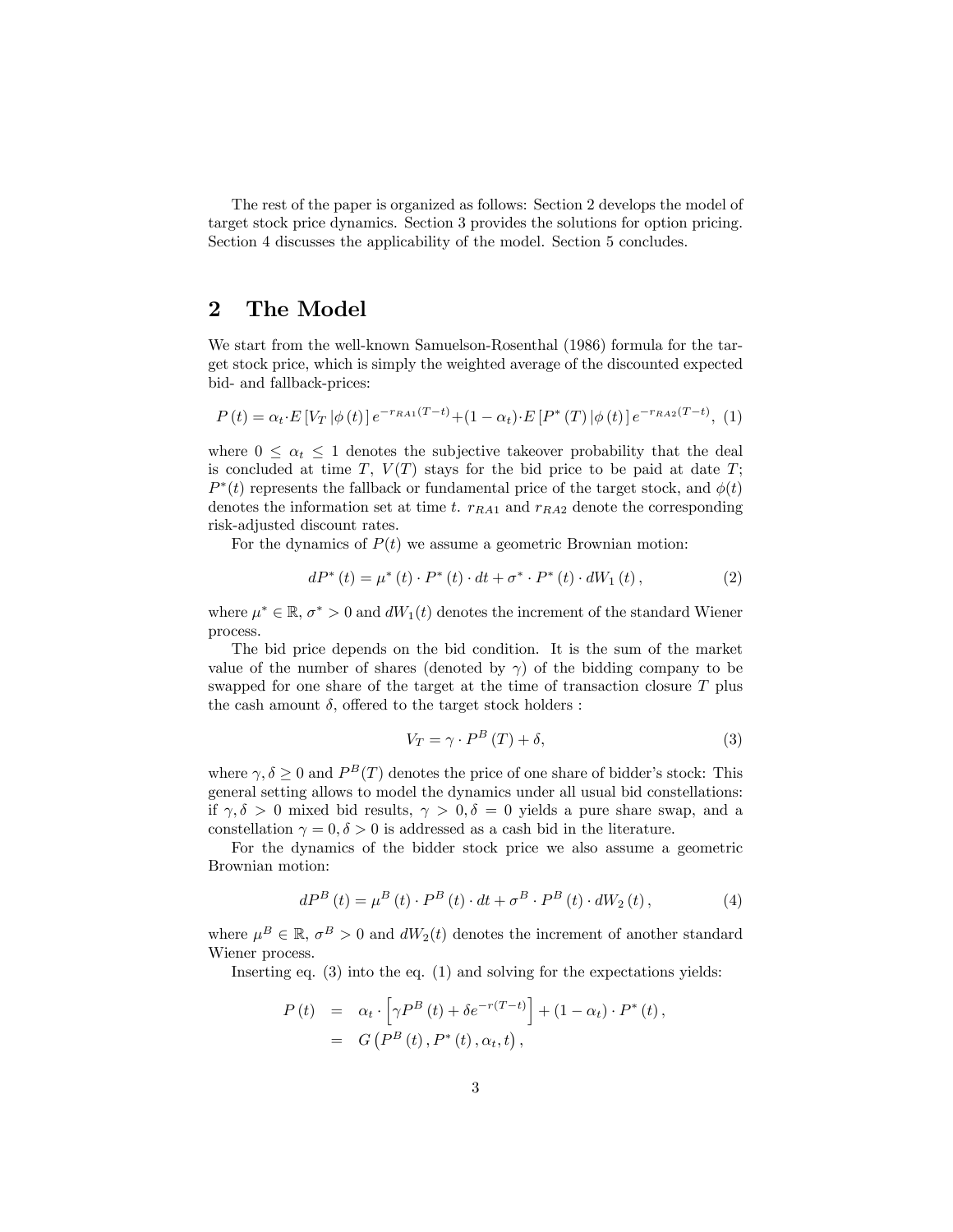The rest of the paper is organized as follows: Section 2 develops the model of target stock price dynamics. Section 3 provides the solutions for option pricing. Section 4 discusses the applicability of the model. Section 5 concludes.

## 2 The Model

We start from the well-known Samuelson-Rosenthal (1986) formula for the target stock price, which is simply the weighted average of the discounted expected bid- and fallback-prices:

$$
P(t) = \alpha_t \cdot E[V_T | \phi(t)] e^{-r_{RA1}(T-t)} + (1 - \alpha_t) \cdot E[P^*(T) | \phi(t)] e^{-r_{RA2}(T-t)}, (1)
$$

where  $0 \leq \alpha_t \leq 1$  denotes the subjective takeover probability that the deal is concluded at time  $T$ ,  $V(T)$  stays for the bid price to be paid at date  $T$ ;  $P^*(t)$  represents the fallback or fundamental price of the target stock, and  $\phi(t)$ denotes the information set at time t.  $r_{RA1}$  and  $r_{RA2}$  denote the corresponding risk-adjusted discount rates.

For the dynamics of  $P(t)$  we assume a geometric Brownian motion:

$$
dP^{*}(t) = \mu^{*}(t) \cdot P^{*}(t) \cdot dt + \sigma^{*} \cdot P^{*}(t) \cdot dW_{1}(t), \qquad (2)
$$

where  $\mu^* \in \mathbb{R}, \sigma^* > 0$  and  $dW_1(t)$  denotes the increment of the standard Wiener process.

The bid price depends on the bid condition. It is the sum of the market value of the number of shares (denoted by  $\gamma$ ) of the bidding company to be swapped for one share of the target at the time of transaction closure T plus the cash amount  $\delta$ , offered to the target stock holders :

$$
V_T = \gamma \cdot P^B(T) + \delta,\tag{3}
$$

where  $\gamma, \delta \ge 0$  and  $P^B(T)$  denotes the price of one share of bidder's stock: This general setting allows to model the dynamics under all usual bid constellations: if  $\gamma, \delta > 0$  mixed bid results,  $\gamma > 0, \delta = 0$  yields a pure share swap, and a constellation  $\gamma = 0, \delta > 0$  is addressed as a cash bid in the literature.

For the dynamics of the bidder stock price we also assume a geometric Brownian motion:

$$
dP^{B}\left(t\right) = \mu^{B}\left(t\right) \cdot P^{B}\left(t\right) \cdot dt + \sigma^{B} \cdot P^{B}\left(t\right) \cdot dW_{2}\left(t\right),\tag{4}
$$

where  $\mu^B \in \mathbb{R}$ ,  $\sigma^B > 0$  and  $dW_2(t)$  denotes the increment of another standard Wiener process.

Inserting eq. (3) into the eq. (1) and solving for the expectations yields:

$$
P(t) = \alpha_t \cdot \left[ \gamma P^{B}(t) + \delta e^{-r(T-t)} \right] + (1 - \alpha_t) \cdot P^*(t),
$$
  
=  $G(P^{B}(t), P^*(t), \alpha_t, t),$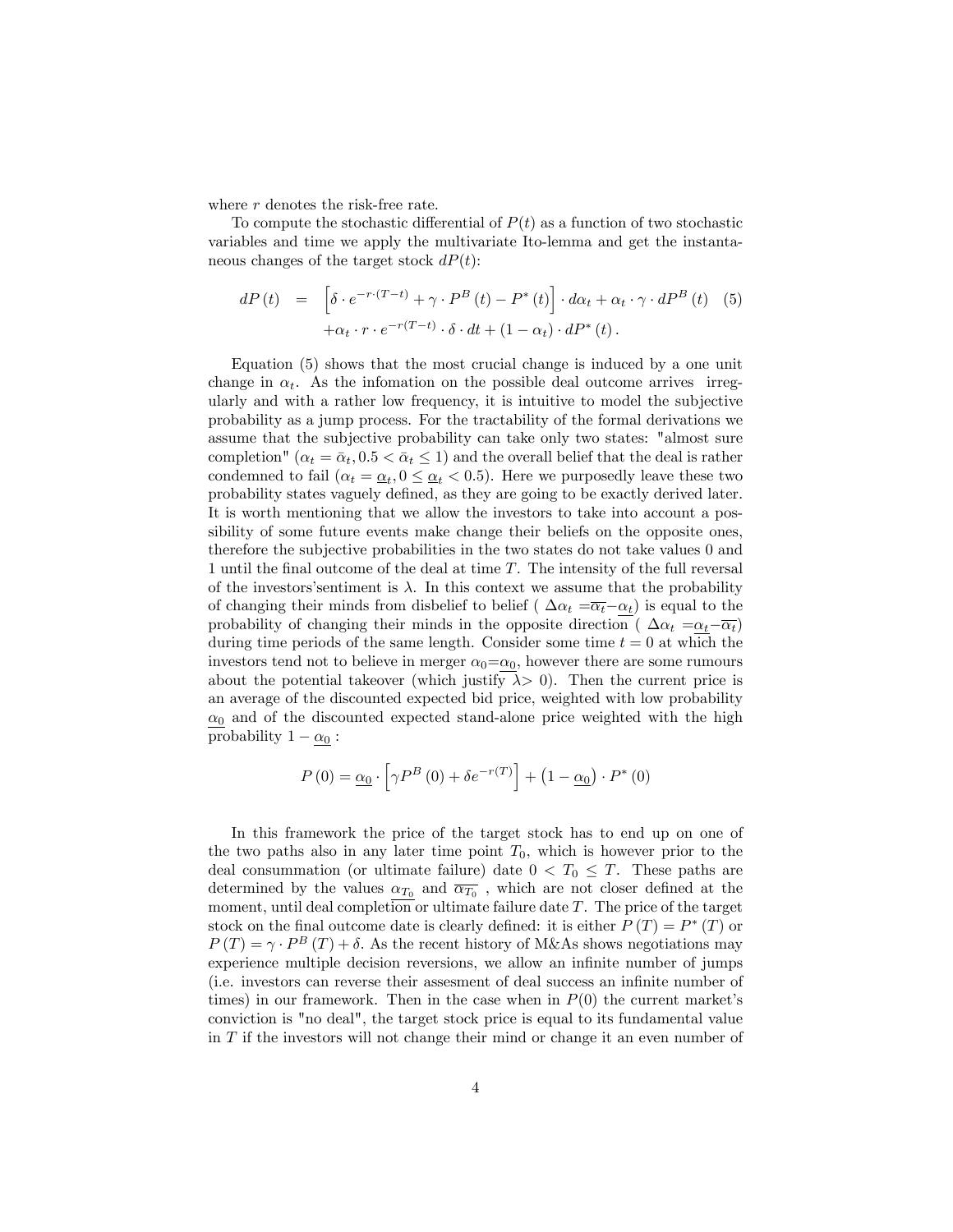where  $r$  denotes the risk-free rate.

To compute the stochastic differential of  $P(t)$  as a function of two stochastic variables and time we apply the multivariate Ito-lemma and get the instantaneous changes of the target stock  $dP(t)$ :

$$
dP(t) = \left[ \delta \cdot e^{-r \cdot (T-t)} + \gamma \cdot P^{B}(t) - P^{*}(t) \right] \cdot d\alpha_{t} + \alpha_{t} \cdot \gamma \cdot dP^{B}(t)
$$
 (5)  
 
$$
+ \alpha_{t} \cdot r \cdot e^{-r(T-t)} \cdot \delta \cdot dt + (1 - \alpha_{t}) \cdot dP^{*}(t).
$$

Equation (5) shows that the most crucial change is induced by a one unit change in  $\alpha_t$ . As the infomation on the possible deal outcome arrives irregularly and with a rather low frequency, it is intuitive to model the subjective probability as a jump process. For the tractability of the formal derivations we assume that the subjective probability can take only two states: "almost sure completion" ( $\alpha_t = \bar{\alpha}_t, 0.5 < \bar{\alpha}_t \leq 1$ ) and the overall belief that the deal is rather condemned to fail  $(\alpha_t = \alpha_t, 0 \leq \alpha_t < 0.5)$ . Here we purposedly leave these two probability states vaguely defined, as they are going to be exactly derived later. It is worth mentioning that we allow the investors to take into account a possibility of some future events make change their beliefs on the opposite ones, therefore the subjective probabilities in the two states do not take values 0 and 1 until the final outcome of the deal at time  $T$ . The intensity of the full reversal of the investors' sentiment is  $\lambda$ . In this context we assume that the probability of changing their minds from disbelief to belief ( $\Delta \alpha_t = \overline{\alpha_t} - \alpha_t$ ) is equal to the probability of changing their minds in the opposite direction ( $\Delta \alpha_t = \alpha_t - \overline{\alpha_t}$ ) during time periods of the same length. Consider some time  $t = 0$  at which the investors tend not to believe in merger  $\alpha_0 = \alpha_0$ , however there are some rumours about the potential takeover (which justify  $\lambda > 0$ ). Then the current price is an average of the discounted expected bid price, weighted with low probability  $\alpha_0$  and of the discounted expected stand-alone price weighted with the high probability  $1 - \underline{\alpha_0}$ :

$$
P(0) = \underline{\alpha_0} \cdot \left[ \gamma P^B(0) + \delta e^{-r(T)} \right] + \left( 1 - \underline{\alpha_0} \right) \cdot P^*(0)
$$

In this framework the price of the target stock has to end up on one of the two paths also in any later time point  $T_0$ , which is however prior to the deal consummation (or ultimate failure) date  $0 < T_0 \leq T$ . These paths are determined by the values  $\alpha_{T_0}$  and  $\overline{\alpha_{T_0}}$ , which are not closer defined at the moment, until deal completion or ultimate failure date  $T$ . The price of the target stock on the final outcome date is clearly defined: it is either  $P(T) = P^*(T)$  or  $P(T) = \gamma \cdot P^{B}(T) + \delta$ . As the recent history of M&As shows negotiations may experience multiple decision reversions, we allow an infinite number of jumps (i.e. investors can reverse their assessment of deal success an infinite number of times) in our framework. Then in the case when in  $P(0)$  the current market's conviction is "no deal", the target stock price is equal to its fundamental value in T if the investors will not change their mind or change it an even number of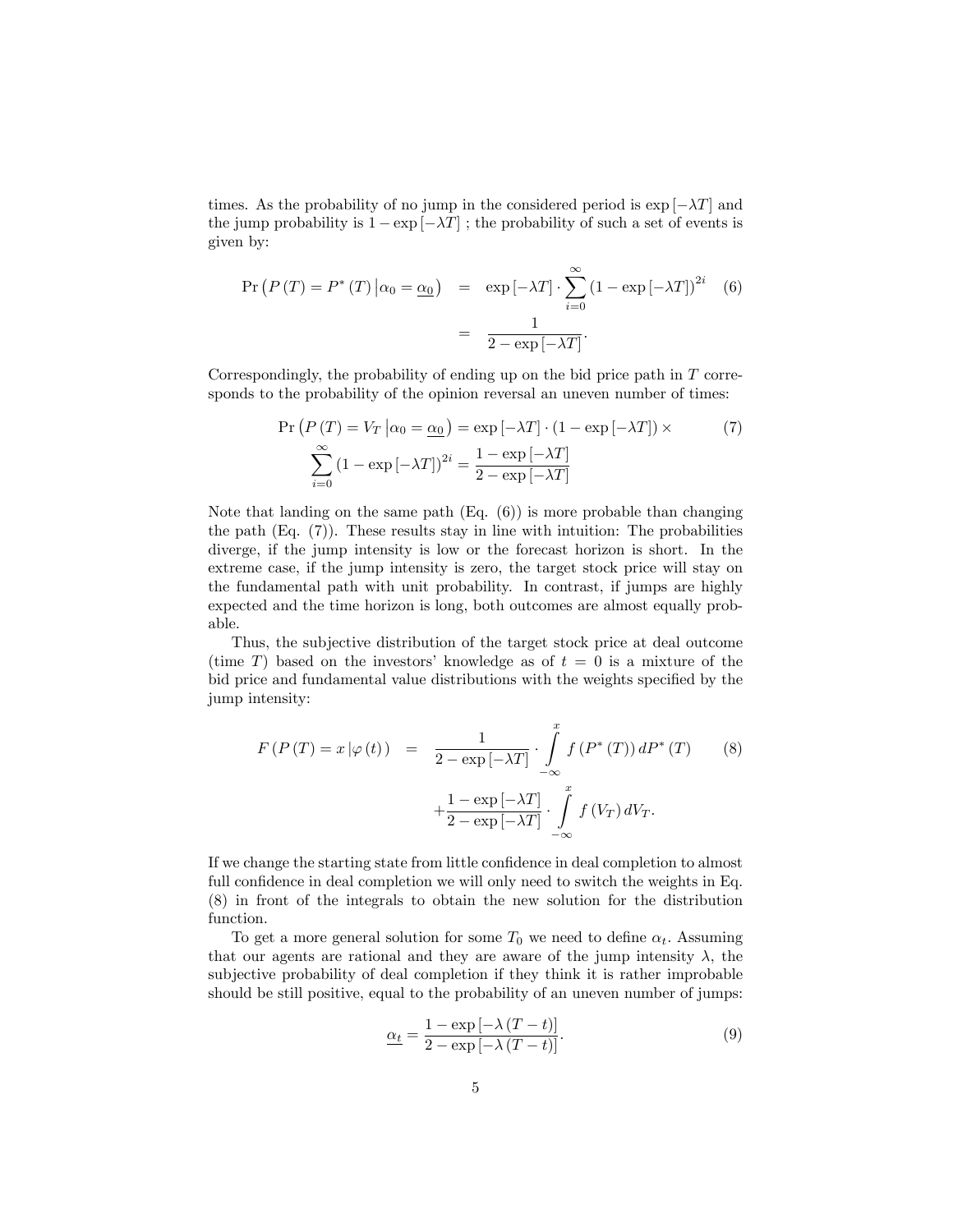times. As the probability of no jump in the considered period is  $\exp[-\lambda T]$  and the jump probability is  $1 - \exp[-\lambda T]$ ; the probability of such a set of events is given by:

$$
\Pr\left(P\left(T\right) = P^*\left(T\right)|\alpha_0 = \underline{\alpha_0}\right) = \exp\left[-\lambda T\right] \cdot \sum_{i=0}^{\infty} \left(1 - \exp\left[-\lambda T\right]\right)^{2i} \quad (6)
$$

$$
= \frac{1}{2 - \exp\left[-\lambda T\right]}.
$$

Correspondingly, the probability of ending up on the bid price path in  $T$  corresponds to the probability of the opinion reversal an uneven number of times:

$$
\Pr\left(P\left(T\right) = V_T \middle| \alpha_0 = \underline{\alpha_0}\right) = \exp\left[-\lambda T\right] \cdot \left(1 - \exp\left[-\lambda T\right]\right) \times \tag{7}
$$
\n
$$
\sum_{i=0}^{\infty} \left(1 - \exp\left[-\lambda T\right]\right)^{2i} = \frac{1 - \exp\left[-\lambda T\right]}{2 - \exp\left[-\lambda T\right]}
$$

Note that landing on the same path  $(Eq. (6))$  is more probable than changing the path (Eq. (7)). These results stay in line with intuition: The probabilities diverge, if the jump intensity is low or the forecast horizon is short. In the extreme case, if the jump intensity is zero, the target stock price will stay on the fundamental path with unit probability. In contrast, if jumps are highly expected and the time horizon is long, both outcomes are almost equally probable.

Thus, the subjective distribution of the target stock price at deal outcome (time T) based on the investors' knowledge as of  $t = 0$  is a mixture of the bid price and fundamental value distributions with the weights specified by the jump intensity:

$$
F(P(T) = x | \varphi(t)) = \frac{1}{2 - \exp[-\lambda T]} \cdot \int_{-\infty}^{x} f(P^*(T)) dP^*(T)
$$
(8)  

$$
+ \frac{1 - \exp[-\lambda T]}{2 - \exp[-\lambda T]} \cdot \int_{-\infty}^{x} f(V_T) dV_T.
$$

If we change the starting state from little confidence in deal completion to almost full confidence in deal completion we will only need to switch the weights in Eq. (8) in front of the integrals to obtain the new solution for the distribution function.

To get a more general solution for some  $T_0$  we need to define  $\alpha_t$ . Assuming that our agents are rational and they are aware of the jump intensity  $\lambda$ , the subjective probability of deal completion if they think it is rather improbable should be still positive, equal to the probability of an uneven number of jumps:

$$
\underline{\alpha_t} = \frac{1 - \exp\left[-\lambda \left(T - t\right)\right]}{2 - \exp\left[-\lambda \left(T - t\right)\right]}.\tag{9}
$$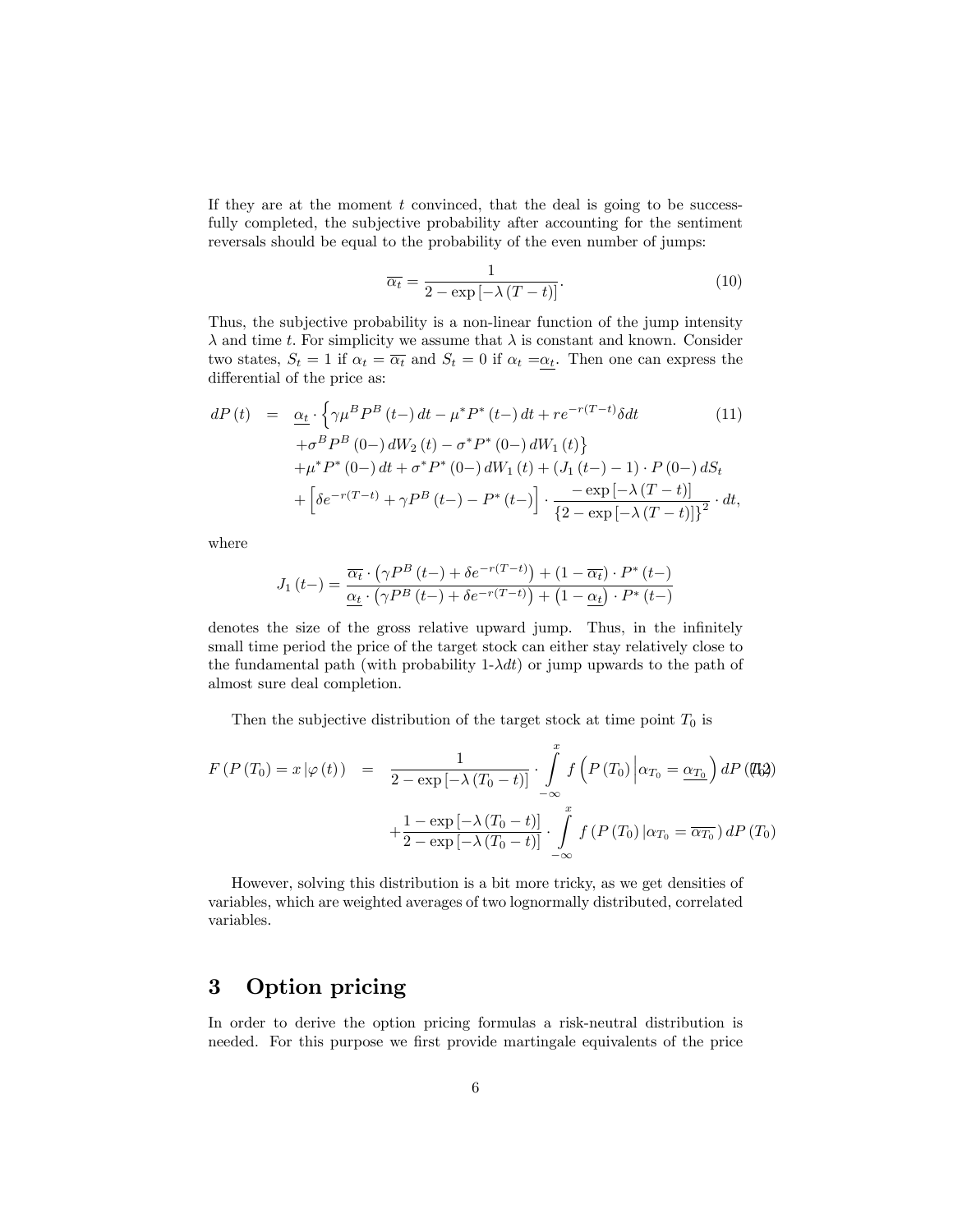If they are at the moment  $t$  convinced, that the deal is going to be successfully completed, the subjective probability after accounting for the sentiment reversals should be equal to the probability of the even number of jumps:

$$
\overline{\alpha_t} = \frac{1}{2 - \exp\left[-\lambda \left(T - t\right)\right]}.\tag{10}
$$

Thus, the subjective probability is a non-linear function of the jump intensity  $\lambda$  and time t. For simplicity we assume that  $\lambda$  is constant and known. Consider two states,  $S_t = 1$  if  $\alpha_t = \overline{\alpha_t}$  and  $S_t = 0$  if  $\alpha_t =\alpha_t$ . Then one can express the differential of the price as:

$$
dP(t) = \underline{\alpha_t} \cdot \left\{ \gamma \mu^B P^B(t-) dt - \mu^* P^*(t-) dt + r e^{-r(T-t)} \delta dt \right\}
$$
(11)  
+  $\sigma^B P^B(0-) dW_2(t) - \sigma^* P^*(0-) dW_1(t) \right\}$   
+  $\mu^* P^*(0-) dt + \sigma^* P^*(0-) dW_1(t) + (J_1(t-)-1) \cdot P(0-) dS_t$   
+  $\left[ \delta e^{-r(T-t)} + \gamma P^B(t-) - P^*(t-) \right] \cdot \frac{-\exp\left[ -\lambda (T-t) \right]}{\left\{ 2 - \exp\left[ -\lambda (T-t) \right] \right\}^2} \cdot dt,$ 

where

$$
J_1(t-) = \frac{\overline{\alpha_t} \cdot (\gamma P^B(t-)+\delta e^{-r(T-t)}) + (1-\overline{\alpha_t}) \cdot P^*(t-)}{\underline{\alpha_t} \cdot (\gamma P^B(t-)+\delta e^{-r(T-t)}) + (1-\underline{\alpha_t}) \cdot P^*(t-)}
$$

denotes the size of the gross relative upward jump. Thus, in the infinitely small time period the price of the target stock can either stay relatively close to the fundamental path (with probability  $1-\lambda dt$ ) or jump upwards to the path of almost sure deal completion.

Then the subjective distribution of the target stock at time point  $T_0$  is

$$
F(P(T_0) = x | \varphi(t)) = \frac{1}{2 - \exp[-\lambda (T_0 - t)]} \cdot \int_{-\infty}^{x} f\left(P(T_0) | \alpha_{T_0} = \underline{\alpha_{T_0}}\right) dP(\text{(L3)})
$$

$$
+ \frac{1 - \exp[-\lambda (T_0 - t)]}{2 - \exp[-\lambda (T_0 - t)]} \cdot \int_{-\infty}^{x} f\left(P(T_0) | \alpha_{T_0} = \overline{\alpha_{T_0}}\right) dP(T_0)
$$

However, solving this distribution is a bit more tricky, as we get densities of variables, which are weighted averages of two lognormally distributed, correlated variables.

## 3 Option pricing

In order to derive the option pricing formulas a risk-neutral distribution is needed. For this purpose we first provide martingale equivalents of the price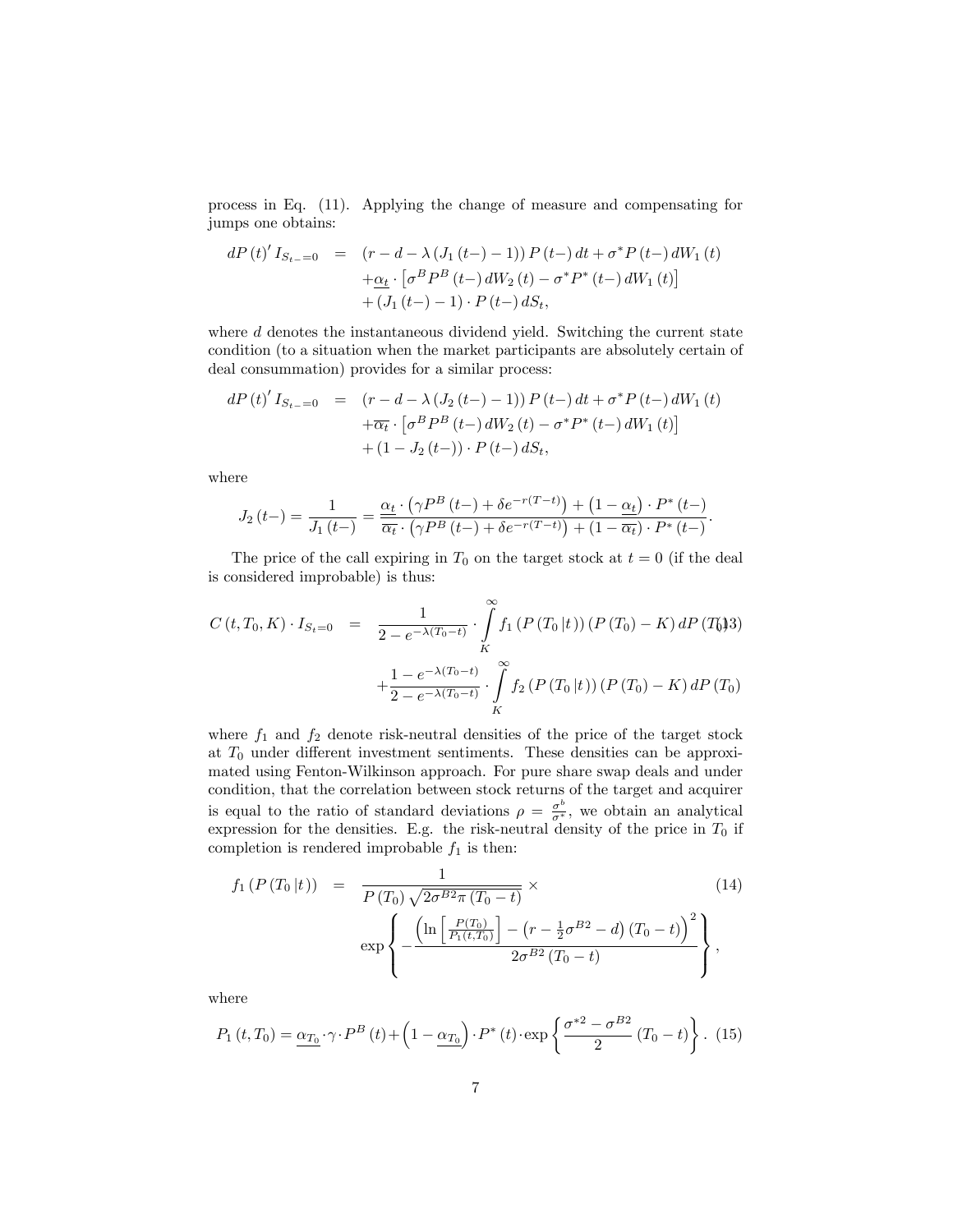process in Eq. (11). Applying the change of measure and compensating for jumps one obtains:

$$
dP(t)'I_{S_{t-}=0} = (r - d - \lambda (J_1(t-)-1)) P(t-) dt + \sigma^* P(t-) dW_1(t)
$$
  
+ 
$$
\frac{d}{dt} \cdot [\sigma^B P^B(t-) dW_2(t) - \sigma^* P^*(t-) dW_1(t)]
$$
  
+ 
$$
(J_1(t-)-1) \cdot P(t-) dS_t,
$$

where  $d$  denotes the instantaneous dividend yield. Switching the current state condition (to a situation when the market participants are absolutely certain of deal consummation) provides for a similar process:

$$
dP(t)' I_{S_{t-}=0} = (r - d - \lambda (J_2(t-)-1)) P(t-) dt + \sigma^* P(t-) dW_1(t)
$$
  
+ 
$$
\overline{\alpha_t} \cdot [\sigma^B P^B(t-) dW_2(t) - \sigma^* P^*(t-) dW_1(t)]
$$
  
+ 
$$
(1 - J_2(t-)) \cdot P(t-) dS_t,
$$

where

$$
J_2(t-) = \frac{1}{J_1(t-)} = \frac{\alpha_t \cdot (\gamma P^B(t-) + \delta e^{-r(T-t)}) + (1 - \alpha_t) \cdot P^*(t-)}{\overline{\alpha_t} \cdot (\gamma P^B(t-) + \delta e^{-r(T-t)}) + (1 - \overline{\alpha_t}) \cdot P^*(t-)}
$$

:

The price of the call expiring in  $T_0$  on the target stock at  $t = 0$  (if the deal is considered improbable) is thus:

$$
C(t, T_0, K) \cdot I_{S_t=0} = \frac{1}{2 - e^{-\lambda(T_0 - t)}} \cdot \int\limits_K^{\infty} f_1(P(T_0 | t)) (P(T_0) - K) dP(T_0)
$$

$$
+ \frac{1 - e^{-\lambda(T_0 - t)}}{2 - e^{-\lambda(T_0 - t)}} \cdot \int\limits_K^{\infty} f_2(P(T_0 | t)) (P(T_0) - K) dP(T_0)
$$

where  $f_1$  and  $f_2$  denote risk-neutral densities of the price of the target stock at  $T_0$  under different investment sentiments. These densities can be approximated using Fenton-Wilkinson approach. For pure share swap deals and under condition, that the correlation between stock returns of the target and acquirer is equal to the ratio of standard deviations  $\rho = \frac{\sigma^b}{\sigma^*}$ , we obtain an analytical expression for the densities. E.g. the risk-neutral density of the price in  $T_0$  if completion is rendered improbable  $f_1$  is then:

$$
f_1(P(T_0|t)) = \frac{1}{P(T_0)\sqrt{2\sigma^{B2}\pi (T_0 - t)}} \times (14)
$$
  

$$
\exp\left\{-\frac{\left(\ln\left[\frac{P(T_0)}{P_1(t,T_0)}\right] - \left(r - \frac{1}{2}\sigma^{B2} - d\right)(T_0 - t)\right)^2}{2\sigma^{B2}(T_0 - t)}\right\},
$$

where

$$
P_1(t,T_0) = \underline{\alpha_{T_0}} \cdot \gamma \cdot P^B(t) + \left(1 - \underline{\alpha_{T_0}}\right) \cdot P^*(t) \cdot \exp\left\{\frac{\sigma^{*2} - \sigma^{B2}}{2} (T_0 - t)\right\}.
$$
 (15)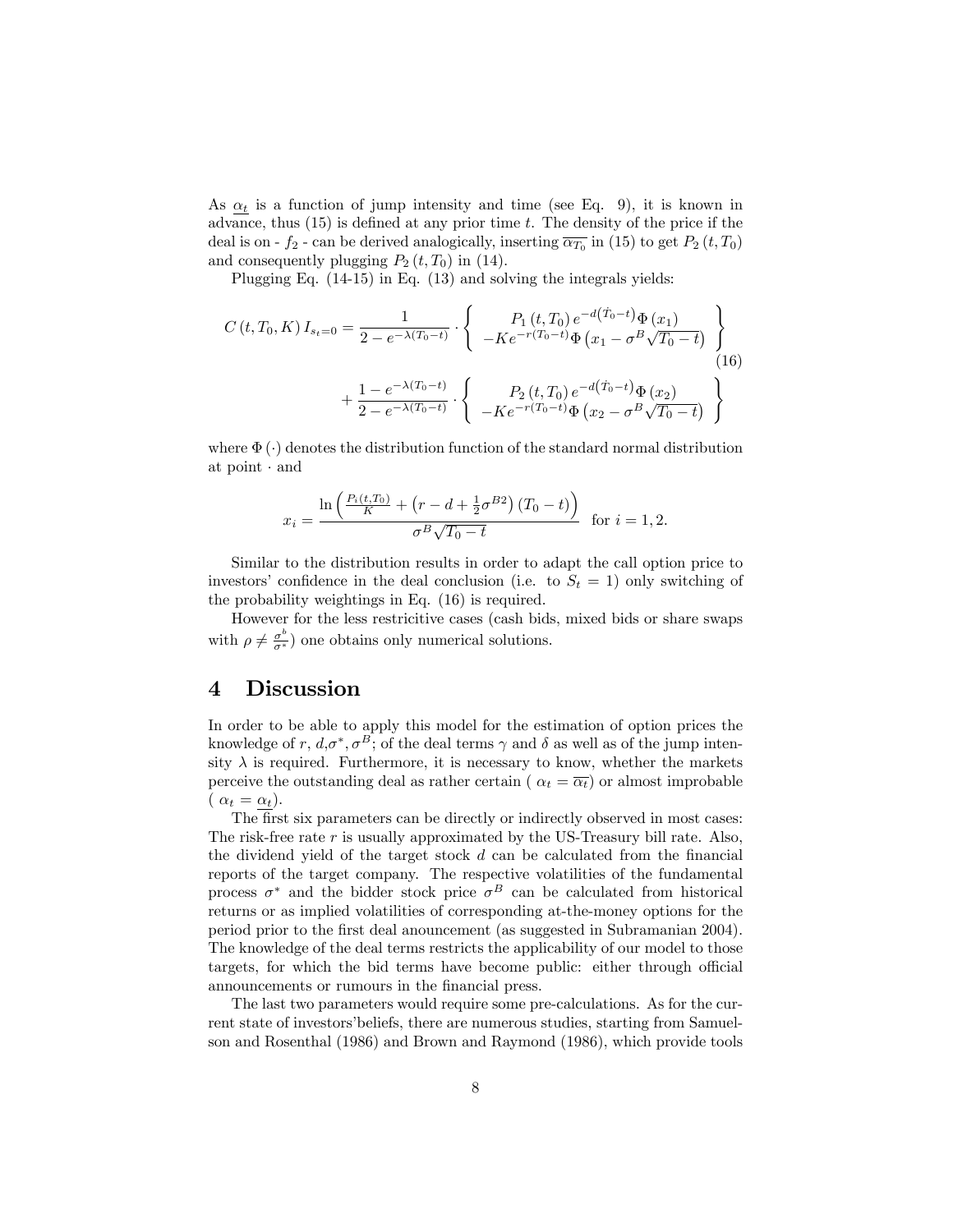As  $\alpha_t$  is a function of jump intensity and time (see Eq. 9), it is known in advance, thus  $(15)$  is defined at any prior time t. The density of the price if the deal is on -  $f_2$  - can be derived analogically, inserting  $\overline{\alpha_{T_0}}$  in (15) to get  $P_2(t,T_0)$ and consequently plugging  $P_2(t, T_0)$  in (14).

Plugging Eq. (14-15) in Eq. (13) and solving the integrals yields:

$$
C(t, T_0, K) I_{s_t=0} = \frac{1}{2 - e^{-\lambda(T_0 - t)}} \cdot \left\{ \begin{array}{c} P_1(t, T_0) e^{-d(\dot{T}_0 - t)} \Phi(x_1) \\ -Ke^{-r(T_0 - t)} \Phi(x_1 - \sigma^B \sqrt{T_0 - t}) \end{array} \right\}
$$
  
+ 
$$
\frac{1 - e^{-\lambda(T_0 - t)}}{2 - e^{-\lambda(T_0 - t)}} \cdot \left\{ \begin{array}{c} P_2(t, T_0) e^{-d(\dot{T}_0 - t)} \Phi(x_2) \\ -Ke^{-r(T_0 - t)} \Phi(x_2 - \sigma^B \sqrt{T_0 - t}) \end{array} \right\}
$$
(16)

where  $\Phi(\cdot)$  denotes the distribution function of the standard normal distribution at  $point \cdot and$ 

$$
x_i = \frac{\ln\left(\frac{P_i(t, T_0)}{K} + \left(r - d + \frac{1}{2}\sigma^{B2}\right)(T_0 - t)\right)}{\sigma^B \sqrt{T_0 - t}} \text{ for } i = 1, 2.
$$

Similar to the distribution results in order to adapt the call option price to investors' confidence in the deal conclusion (i.e. to  $S_t = 1$ ) only switching of the probability weightings in Eq. (16) is required.

However for the less restricitive cases (cash bids, mixed bids or share swaps with  $\rho \neq \frac{\sigma^b}{\sigma^*}$  one obtains only numerical solutions.

## 4 Discussion

In order to be able to apply this model for the estimation of option prices the knowledge of r,  $d, \sigma^*, \sigma^B$ ; of the deal terms  $\gamma$  and  $\delta$  as well as of the jump intensity  $\lambda$  is required. Furthermore, it is necessary to know, whether the markets perceive the outstanding deal as rather certain ( $\alpha_t = \overline{\alpha_t}$ ) or almost improbable  $(\alpha_t = \alpha_t).$ 

The first six parameters can be directly or indirectly observed in most cases: The risk-free rate  $r$  is usually approximated by the US-Treasury bill rate. Also, the dividend yield of the target stock  $d$  can be calculated from the financial reports of the target company. The respective volatilities of the fundamental process  $\sigma^*$  and the bidder stock price  $\sigma^B$  can be calculated from historical returns or as implied volatilities of corresponding at-the-money options for the period prior to the Örst deal anouncement (as suggested in Subramanian 2004). The knowledge of the deal terms restricts the applicability of our model to those targets, for which the bid terms have become public: either through official announcements or rumours in the financial press.

The last two parameters would require some pre-calculations. As for the current state of investors' beliefs, there are numerous studies, starting from Samuelson and Rosenthal (1986) and Brown and Raymond (1986), which provide tools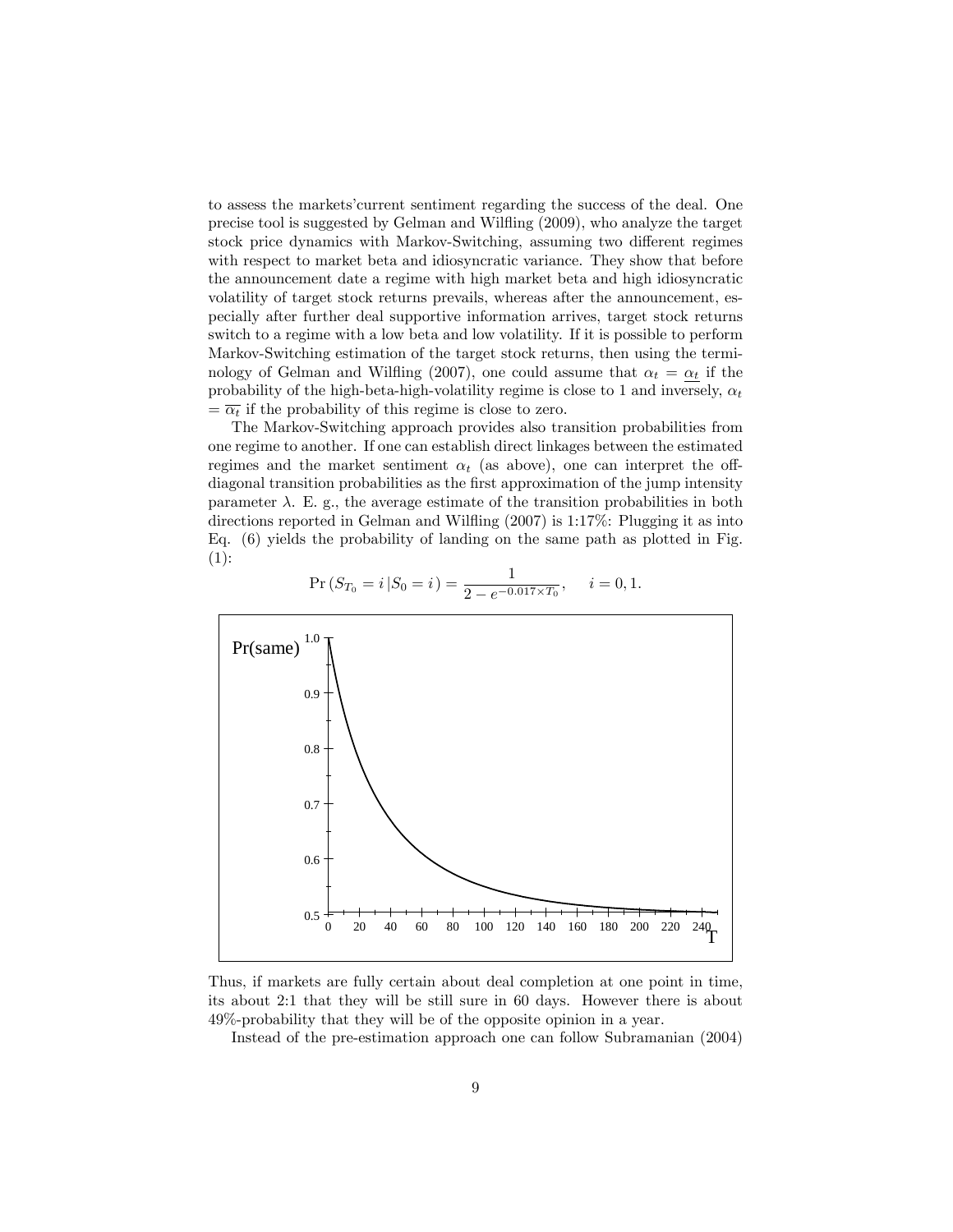to assess the marketsícurrent sentiment regarding the success of the deal. One precise tool is suggested by Gelman and Wiláing (2009), who analyze the target stock price dynamics with Markov-Switching, assuming two different regimes with respect to market beta and idiosyncratic variance. They show that before the announcement date a regime with high market beta and high idiosyncratic volatility of target stock returns prevails, whereas after the announcement, especially after further deal supportive information arrives, target stock returns switch to a regime with a low beta and low volatility. If it is possible to perform Markov-Switching estimation of the target stock returns, then using the terminology of Gelman and Wilfling (2007), one could assume that  $\alpha_t = \alpha_t$  if the probability of the high-beta-high-volatility regime is close to 1 and inversely,  $\alpha_t$  $=\overline{\alpha_t}$  if the probability of this regime is close to zero.

The Markov-Switching approach provides also transition probabilities from one regime to another. If one can establish direct linkages between the estimated regimes and the market sentiment  $\alpha_t$  (as above), one can interpret the offdiagonal transition probabilities as the first approximation of the jump intensity parameter  $\lambda$ . E. g., the average estimate of the transition probabilities in both directions reported in Gelman and Wilfling (2007) is 1:17%: Plugging it as into Eq. (6) yields the probability of landing on the same path as plotted in Fig.  $(1):$ 



$$
\Pr\left(S_{T_0} = i \, | S_0 = i\right) = \frac{1}{2 - e^{-0.017 \times T_0}}, \quad i = 0, 1.
$$

Thus, if markets are fully certain about deal completion at one point in time, its about 2:1 that they will be still sure in 60 days. However there is about 49%-probability that they will be of the opposite opinion in a year.

Instead of the pre-estimation approach one can follow Subramanian (2004)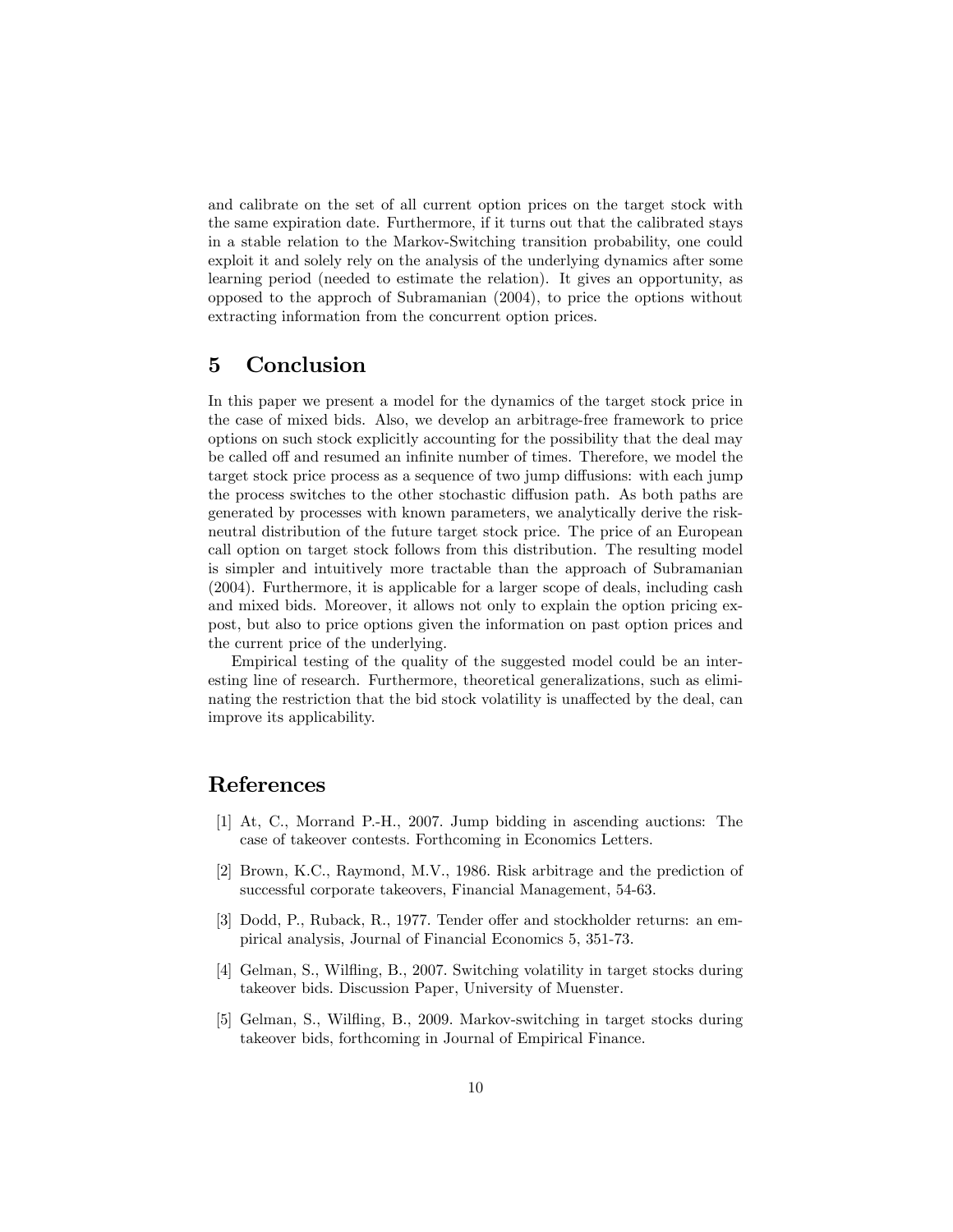and calibrate on the set of all current option prices on the target stock with the same expiration date. Furthermore, if it turns out that the calibrated stays in a stable relation to the Markov-Switching transition probability, one could exploit it and solely rely on the analysis of the underlying dynamics after some learning period (needed to estimate the relation). It gives an opportunity, as opposed to the approch of Subramanian (2004), to price the options without extracting information from the concurrent option prices.

## 5 Conclusion

In this paper we present a model for the dynamics of the target stock price in the case of mixed bids. Also, we develop an arbitrage-free framework to price options on such stock explicitly accounting for the possibility that the deal may be called off and resumed an infinite number of times. Therefore, we model the target stock price process as a sequence of two jump diffusions: with each jump the process switches to the other stochastic diffusion path. As both paths are generated by processes with known parameters, we analytically derive the riskneutral distribution of the future target stock price. The price of an European call option on target stock follows from this distribution. The resulting model is simpler and intuitively more tractable than the approach of Subramanian (2004). Furthermore, it is applicable for a larger scope of deals, including cash and mixed bids. Moreover, it allows not only to explain the option pricing expost, but also to price options given the information on past option prices and the current price of the underlying.

Empirical testing of the quality of the suggested model could be an interesting line of research. Furthermore, theoretical generalizations, such as eliminating the restriction that the bid stock volatility is unaffected by the deal, can improve its applicability.

## References

- [1] At, C., Morrand P.-H., 2007. Jump bidding in ascending auctions: The case of takeover contests. Forthcoming in Economics Letters.
- [2] Brown, K.C., Raymond, M.V., 1986. Risk arbitrage and the prediction of successful corporate takeovers, Financial Management, 54-63.
- [3] Dodd, P., Ruback, R., 1977. Tender offer and stockholder returns: an empirical analysis, Journal of Financial Economics 5, 351-73.
- [4] Gelman, S., Wiláing, B., 2007. Switching volatility in target stocks during takeover bids. Discussion Paper, University of Muenster.
- [5] Gelman, S., Wiláing, B., 2009. Markov-switching in target stocks during takeover bids, forthcoming in Journal of Empirical Finance.